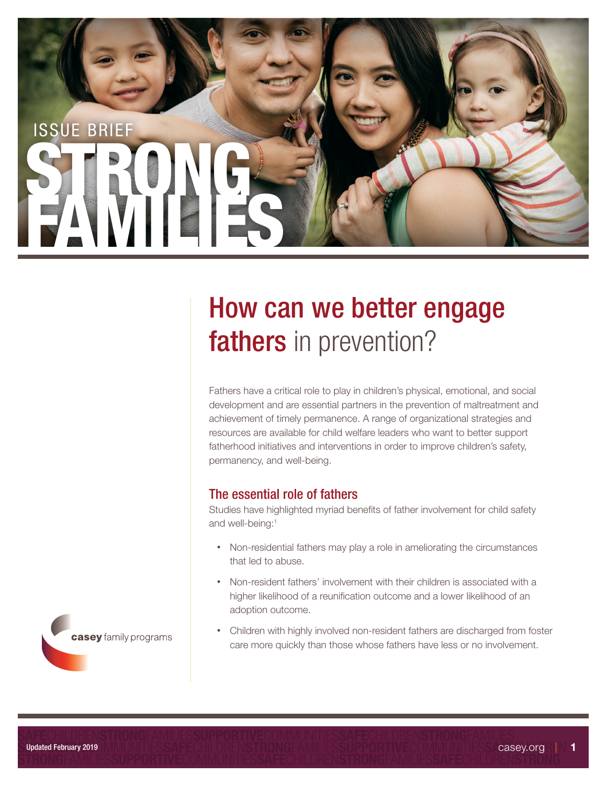

# How can we better engage fathers in prevention?

Fathers have a critical role to play in children's physical, emotional, and social development and are essential partners in the prevention of maltreatment and achievement of timely permanence. A range of organizational strategies and resources are available for child welfare leaders who want to better support fatherhood initiatives and interventions in order to improve children's safety, permanency, and well-being.

# The essential role of fathers

Studies have highlighted myriad benefits of father involvement for child safety and well-being:<sup>1</sup>

- Non-residential fathers may play a role in ameliorating the circumstances that led to abuse.
- Non-resident fathers' involvement with their children is associated with a higher likelihood of a reunification outcome and a lower likelihood of an adoption outcome.
- Children with highly involved non-resident fathers are discharged from foster care more quickly than those whose fathers have less or no involvement.

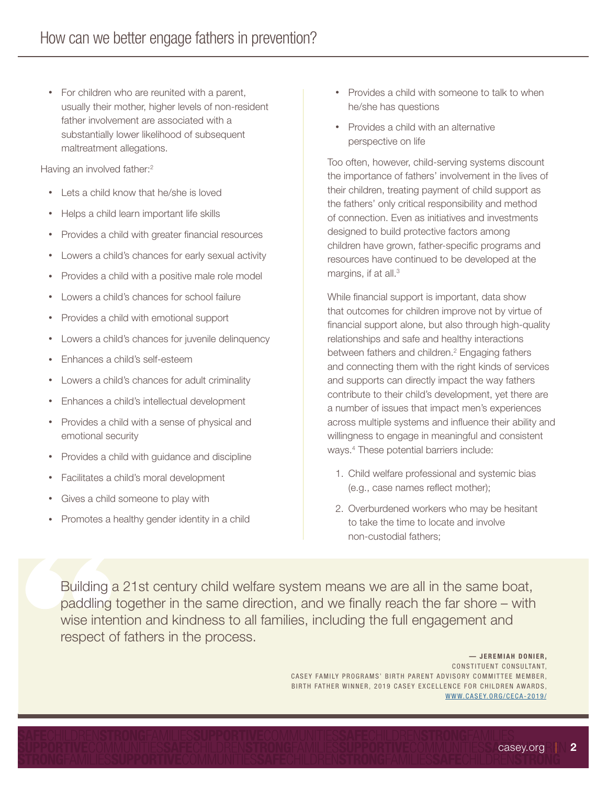• For children who are reunited with a parent, usually their mother, higher levels of non-resident father involvement are associated with a substantially lower likelihood of subsequent maltreatment allegations.

Having an involved father:<sup>2</sup>

- Lets a child know that he/she is loved
- Helps a child learn important life skills
- Provides a child with greater financial resources
- Lowers a child's chances for early sexual activity
- Provides a child with a positive male role model
- Lowers a child's chances for school failure
- Provides a child with emotional support
- Lowers a child's chances for juvenile delinquency
- Enhances a child's self-esteem
- Lowers a child's chances for adult criminality
- Enhances a child's intellectual development
- Provides a child with a sense of physical and emotional security
- Provides a child with guidance and discipline
- Facilitates a child's moral development
- Gives a child someone to play with
- Promotes a healthy gender identity in a child
- Provides a child with someone to talk to when he/she has questions
- Provides a child with an alternative perspective on life

Too often, however, child-serving systems discount the importance of fathers' involvement in the lives of their children, treating payment of child support as the fathers' only critical responsibility and method of connection. Even as initiatives and investments designed to build protective factors among children have grown, father-specific programs and resources have continued to be developed at the margins, if at all.<sup>3</sup>

While financial support is important, data show that outcomes for children improve not by virtue of financial support alone, but also through high-quality relationships and safe and healthy interactions between fathers and children.<sup>2</sup> Engaging fathers and connecting them with the right kinds of services and supports can directly impact the way fathers contribute to their child's development, yet there are a number of issues that impact men's experiences across multiple systems and influence their ability and willingness to engage in meaningful and consistent ways.4 These potential barriers include:

- 1. Child welfare professional and systemic bias (e.g., case names reflect mother);
- 2. Overburdened workers who may be hesitant to take the time to locate and involve non-custodial fathers;

Building a 21st century child welfare system means we are all in the same boat, paddling together in the same direction, and we finally reach the far shore – with wise intention and kindness to all families, including the full engagement and respect of fathers in the process.

> $-$  JEREMIAH DONIER. CONSTITUENT CONSULTANT, CASEY FAMILY PROGRAMS' BIRTH PARENT ADVISORY COMMITTEE MEMBER, BIRTH FATHER WINNER, 2019 CASEY EXCELLENCE FOR CHILDREN AWARDS, [WWW.CASEY.](http://www.casey.org/ceca-2019/) ORG/CEC A-2 0 1 9 /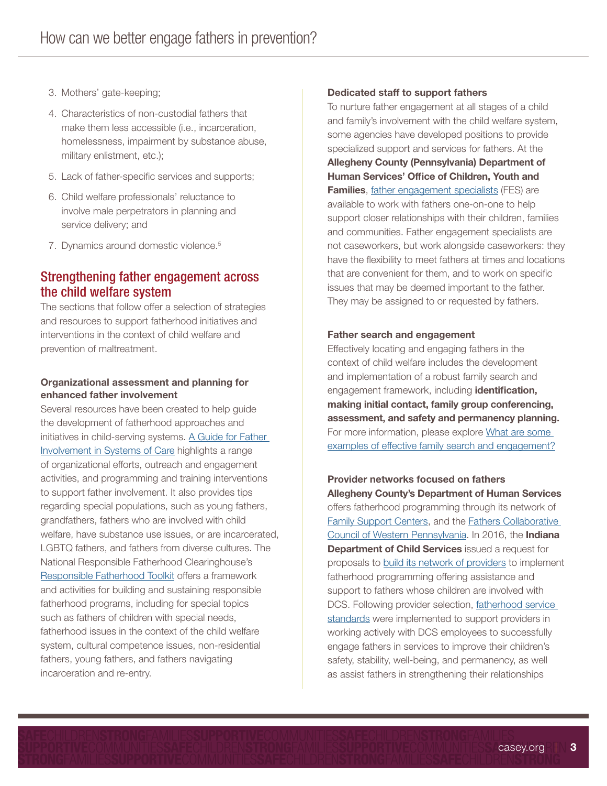- 3. Mothers' gate-keeping;
- 4. Characteristics of non-custodial fathers that make them less accessible (i.e., incarceration, homelessness, impairment by substance abuse, military enlistment, etc.);
- 5. Lack of father-specific services and supports;
- 6. Child welfare professionals' reluctance to involve male perpetrators in planning and service delivery; and
- 7. Dynamics around domestic violence.5

## Strengthening father engagement across the child welfare system

The sections that follow offer a selection of strategies and resources to support fatherhood initiatives and interventions in the context of child welfare and prevention of maltreatment.

### Organizational assessment and planning for enhanced father involvement

Several resources have been created to help guide the development of fatherhood approaches and initiatives in child-serving systems. A Guide for Father [Involvement in Systems of Care](https://www.air.org/sites/default/files/downloads/report/AIR_Fatherhood_Guide_061413_0.pdf) highlights a range of organizational efforts, outreach and engagement activities, and programming and training interventions to support father involvement. It also provides tips regarding special populations, such as young fathers, grandfathers, fathers who are involved with child welfare, have substance use issues, or are incarcerated, LGBTQ fathers, and fathers from diverse cultures. The National Responsible Fatherhood Clearinghouse's [Responsible Fatherhood Toolkit](https://www.fatherhood.gov/toolkit/home) offers a framework and activities for building and sustaining responsible fatherhood programs, including for special topics such as fathers of children with special needs, fatherhood issues in the context of the child welfare system, cultural competence issues, non-residential fathers, young fathers, and fathers navigating incarceration and re-entry.

#### Dedicated staff to support fathers

To nurture father engagement at all stages of a child and family's involvement with the child welfare system, some agencies have developed positions to provide specialized support and services for fathers. At the Allegheny County (Pennsylvania) Department of Human Services' Office of Children, Youth and Families, [father engagement specialists](http://www.county.allegheny.pa.us/Human-Services/Programs-Services/Children-Families/Especially-for-Fathers.aspx) (FES) are available to work with fathers one-on-one to help support closer relationships with their children, families and communities. Father engagement specialists are not caseworkers, but work alongside caseworkers: they have the flexibility to meet fathers at times and locations that are convenient for them, and to work on specific issues that may be deemed important to the father. They may be assigned to or requested by fathers.

#### Father search and engagement

Effectively locating and engaging fathers in the context of child welfare includes the development and implementation of a robust family search and engagement framework, including identification, making initial contact, family group conferencing, assessment, and safety and permanency planning. For more information, please explore [What are some](https://www.casey.org/family-search-engagement/)  [examples of effective family search and engagement?](https://www.casey.org/family-search-engagement/)

Provider networks focused on fathers Allegheny County's Department of Human Services offers fatherhood programming through its network of [Family Support Centers,](http://www.alleghenycountyfamilysupport.org/) and the [Fathers Collaborative](https://www.aiu3.net/Page/2469)  [Council of Western Pennsylvania.](https://www.aiu3.net/Page/2469) In 2016, the Indiana **Department of Child Services** issued a request for proposals to [build its network of providers](https://www.in.gov/dcs/3424.htm) to implement fatherhood programming offering assistance and support to fathers whose children are involved with DCS. Following provider selection, [fatherhood service](https://www.in.gov/dcs/files/Father Engagement Service Standard- updated 8-16-16.pdf)  [standards](https://www.in.gov/dcs/files/Father Engagement Service Standard- updated 8-16-16.pdf) were implemented to support providers in working actively with DCS employees to successfully engage fathers in services to improve their children's safety, stability, well-being, and permanency, as well as assist fathers in strengthening their relationships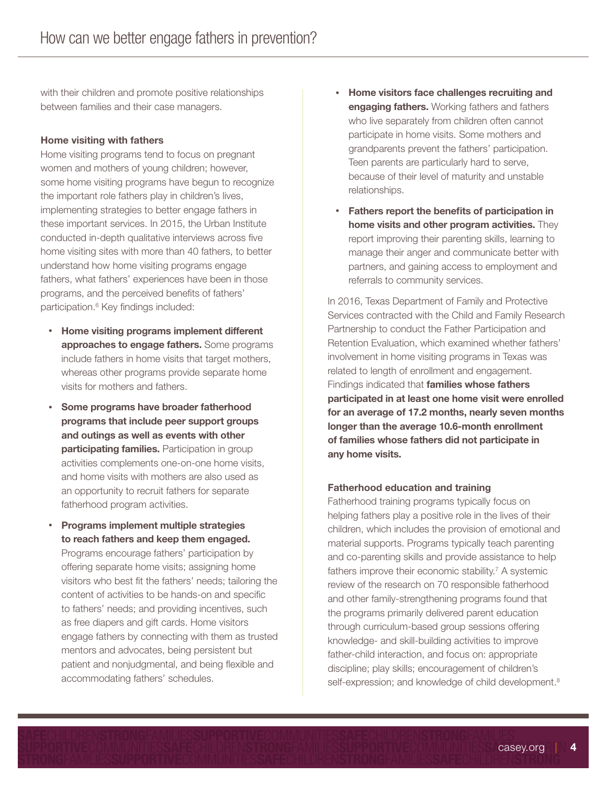with their children and promote positive relationships between families and their case managers.

#### Home visiting with fathers

Home visiting programs tend to focus on pregnant women and mothers of young children; however, some home visiting programs have begun to recognize the important role fathers play in children's lives, implementing strategies to better engage fathers in these important services. In 2015, the Urban Institute conducted in-depth qualitative interviews across five home visiting sites with more than 40 fathers, to better understand how home visiting programs engage fathers, what fathers' experiences have been in those programs, and the perceived benefits of fathers' participation.<sup>6</sup> Key findings included:

- Home visiting programs implement different approaches to engage fathers. Some programs include fathers in home visits that target mothers, whereas other programs provide separate home visits for mothers and fathers.
- Some programs have broader fatherhood programs that include peer support groups and outings as well as events with other participating families. Participation in group activities complements one-on-one home visits, and home visits with mothers are also used as an opportunity to recruit fathers for separate fatherhood program activities.
- Programs implement multiple strategies to reach fathers and keep them engaged. Programs encourage fathers' participation by offering separate home visits; assigning home visitors who best fit the fathers' needs; tailoring the content of activities to be hands-on and specific to fathers' needs; and providing incentives, such as free diapers and gift cards. Home visitors engage fathers by connecting with them as trusted mentors and advocates, being persistent but patient and nonjudgmental, and being flexible and accommodating fathers' schedules.
- Home visitors face challenges recruiting and **engaging fathers.** Working fathers and fathers who live separately from children often cannot participate in home visits. Some mothers and grandparents prevent the fathers' participation. Teen parents are particularly hard to serve, because of their level of maturity and unstable relationships.
- Fathers report the benefits of participation in home visits and other program activities. They report improving their parenting skills, learning to manage their anger and communicate better with partners, and gaining access to employment and referrals to community services.

In 2016, Texas Department of Family and Protective Services contracted with the Child and Family Research Partnership to conduct the Father Participation and Retention Evaluation, which examined whether fathers' involvement in home visiting programs in Texas was related to length of enrollment and engagement. Findings indicated that **families whose fathers** participated in at least one home visit were enrolled for an average of 17.2 months, nearly seven months longer than the average 10.6-month enrollment of families whose fathers did not participate in any home visits.

#### Fatherhood education and training

Fatherhood training programs typically focus on helping fathers play a positive role in the lives of their children, which includes the provision of emotional and material supports. Programs typically teach parenting and co-parenting skills and provide assistance to help fathers improve their economic stability.<sup>7</sup> A systemic review of the research on 70 responsible fatherhood and other family-strengthening programs found that the programs primarily delivered parent education through curriculum-based group sessions offering knowledge- and skill-building activities to improve father-child interaction, and focus on: appropriate discipline; play skills; encouragement of children's self-expression; and knowledge of child development.<sup>8</sup>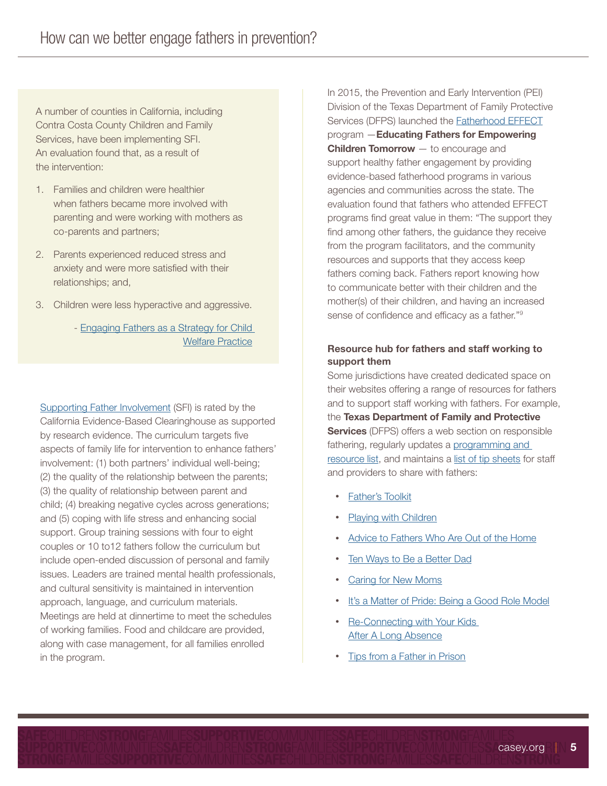A number of counties in California, including Contra Costa County Children and Family Services, have been implementing SFI. An evaluation found that, as a result of the intervention:

- 1. Families and children were healthier when fathers became more involved with parenting and were working with mothers as co-parents and partners;
- 2. Parents experienced reduced stress and anxiety and were more satisfied with their relationships; and,
- 3. Children were less hyperactive and aggressive.
	- - [Engaging Fathers as a Strategy for Child](https://mackcenter.berkeley.edu/sites/default/files/chi-2016-05-06/CHI/TOC-CHI-120.pdf)  [Welfare Practice](https://mackcenter.berkeley.edu/sites/default/files/chi-2016-05-06/CHI/TOC-CHI-120.pdf)

[Supporting Father Involvement](http://www.cebc4cw.org/program/supporting-father-involvement/) (SFI) is rated by the California Evidence-Based Clearinghouse as supported by research evidence. The curriculum targets five aspects of family life for intervention to enhance fathers' involvement: (1) both partners' individual well-being; (2) the quality of the relationship between the parents; (3) the quality of relationship between parent and child; (4) breaking negative cycles across generations; and (5) coping with life stress and enhancing social support. Group training sessions with four to eight couples or 10 to12 fathers follow the curriculum but include open-ended discussion of personal and family issues. Leaders are trained mental health professionals, and cultural sensitivity is maintained in intervention approach, language, and curriculum materials. Meetings are held at dinnertime to meet the schedules of working families. Food and childcare are provided, along with case management, for all families enrolled in the program.

In 2015, the Prevention and Early Intervention (PEI) Division of the Texas Department of Family Protective Services (DFPS) launched the [Fatherhood EFFECT](https://childandfamilyresearch.utexas.edu/breaking-cycle-becoming-better-fathers-through-supportive-fatherhood-programs-texas) program —Educating Fathers for Empowering **Children Tomorrow** — to encourage and support healthy father engagement by providing evidence-based fatherhood programs in various agencies and communities across the state. The evaluation found that fathers who attended EFFECT programs find great value in them: "The support they find among other fathers, the guidance they receive from the program facilitators, and the community resources and supports that they access keep fathers coming back. Fathers report knowing how to communicate better with their children and the mother(s) of their children, and having an increased sense of confidence and efficacy as a father."9

## Resource hub for fathers and staff working to support them

Some jurisdictions have created dedicated space on their websites offering a range of resources for fathers and to support staff working with fathers. For example, the Texas Department of Family and Protective **Services** (DFPS) offers a web section on responsible fathering, regularly updates a [programming and](http://www.dfps.state.tx.us/Doing_Business/Purchased_Client_Services/Regional_CPS_Contracts/documents/Fatherhood_Resources.pdf)  [resource list,](http://www.dfps.state.tx.us/Doing_Business/Purchased_Client_Services/Regional_CPS_Contracts/documents/Fatherhood_Resources.pdf) and maintains a [list of tip sheets](https://www.dfps.state.tx.us/Child_Protection/Family_Support/Fathering_Resources.asp) for staff and providers to share with fathers:

- [Father's Toolkit](https://www.dfps.state.tx.us/Child_Protection/Family_Support/documents/Fathers_Toolkit-ENG.pdf)
- [Playing with Children](https://www.dfps.state.tx.us/Child_Protection/Family_Support/documents/fathers_playing.pdf)
- [Advice to Fathers Who Are Out of the Home](https://www.dfps.state.tx.us/Child_Protection/Family_Support/documents/fathers_advice.pdf)
- [Ten Ways to Be a Better Dad](https://www.dfps.state.tx.us/Child_Protection/Family_Support/documents/fathers_ten_ways.pdf)
- [Caring for New Moms](https://www.dfps.state.tx.us/Child_Protection/Family_Support/documents/fathers_tips_new_moms.pdf)
- [It's a Matter of Pride: Being a Good Role Model](https://www.dfps.state.tx.us/Child_Protection/Family_Support/documents/fathers_tips_dads_role.pdf)
- Re-Connecting with Your Kids [After A Long Absence](https://www.dfps.state.tx.us/Child_Protection/Family_Support/documents/fathers_absence.pdf)
- [Tips from a Father in Prison](https://www.dfps.state.tx.us/Child_Protection/Family_Support/documents/fathers_prison.pdf)